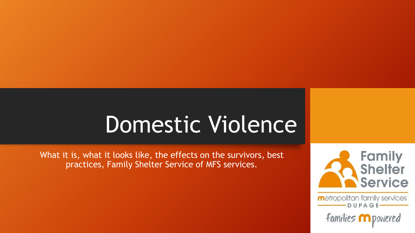# Domestic Violence

What it is, what it looks like, the effects on the survivors, best practices, Family Shelter Service of MFS services.



metropolitan family services DUPAGE

families m powered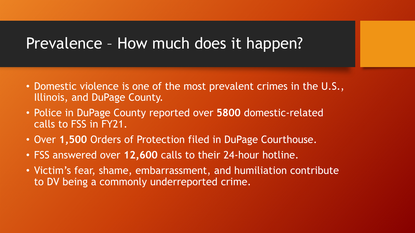#### Prevalence – How much does it happen?

- Domestic violence is one of the most prevalent crimes in the U.S., Illinois, and DuPage County.
- Police in DuPage County reported over **5800** domestic-related calls to FSS in FY21.
- Over **1,500** Orders of Protection filed in DuPage Courthouse.
- FSS answered over **12,600** calls to their 24-hour hotline.
- Victim's fear, shame, embarrassment, and humiliation contribute to DV being a commonly underreported crime.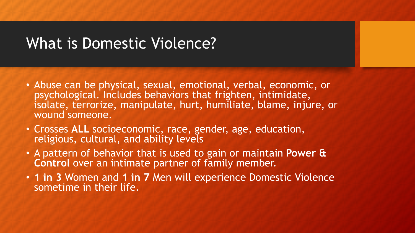#### What is Domestic Violence?

- Abuse can be physical, sexual, emotional, verbal, economic, or psychological. Includes behaviors that frighten, intimidate, isolate, terrorize, manipulate, hurt, humiliate, blame, injure, or wound someone.
- Crosses **ALL** socioeconomic, race, gender, age, education, religious, cultural, and ability levels
- A pattern of behavior that is used to gain or maintain **Power & Control** over an intimate partner of family member.
- **1 in 3** Women and **1 in 7** Men will experience Domestic Violence sometime in their life.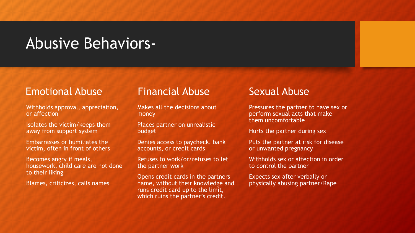#### Abusive Behaviors-

#### Emotional Abuse

Withholds approval, appreciation, or affection

Isolates the victim/keeps them away from support system

Embarrasses or humiliates the victim, often in front of others

Becomes angry if meals, housework, child care are not done to their liking

Blames, criticizes, calls names

#### Financial Abuse

Makes all the decisions about money

Places partner on unrealistic budget

Denies access to paycheck, bank accounts, or credit cards

Refuses to work/or/refuses to let the partner work

Opens credit cards in the partners name, without their knowledge and runs credit card up to the limit, which ruins the partner's credit.

#### Sexual Abuse

Pressures the partner to have sex or perform sexual acts that make them uncomfortable

Hurts the partner during sex

Puts the partner at risk for disease or unwanted pregnancy

Withholds sex or affection in order to control the partner

Expects sex after verbally or physically abusing partner/Rape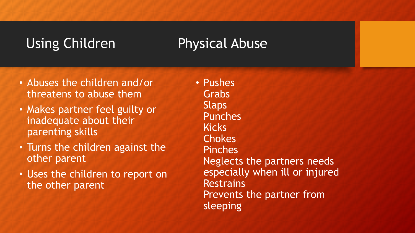#### Using Children Physical Abuse

- Abuses the children and/or threatens to abuse them
- Makes partner feel guilty or inadequate about their parenting skills
- Turns the children against the other parent
- Uses the children to report on the other parent

• Pushes Grabs Slaps Punches **Kicks Chokes** Pinches Neglects the partners needs especially when ill or injured **Restrains** Prevents the partner from sleeping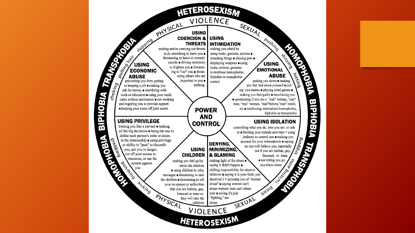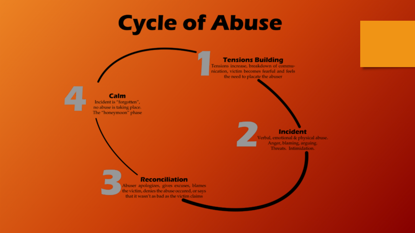# **Cycle of Abuse**

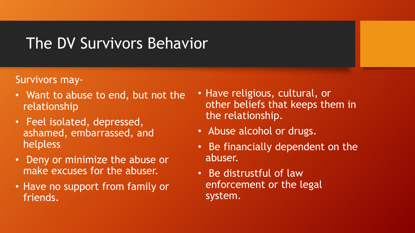#### The DV Survivors Behavior

#### Survivors may-

- Want to abuse to end, but not the relationship
- Feel isolated, depressed, ashamed, embarrassed, and helpless
- Deny or minimize the abuse or make excuses for the abuser.
- Have no support from family or friends.
- Have religious, cultural, or other beliefs that keeps them in the relationship.
- Abuse alcohol or drugs.
- Be financially dependent on the abuser.
- Be distrustful of law enforcement or the legal system.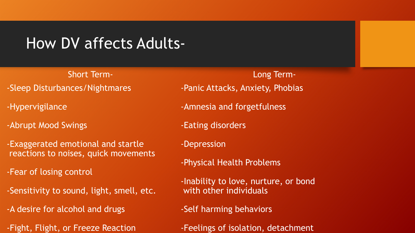#### How DV affects Adults-

Short Term- -Sleep Disturbances/Nightmares

-Hypervigilance

-Abrupt Mood Swings

-Exaggerated emotional and startle reactions to noises, quick movements

-Fear of losing control

-Sensitivity to sound, light, smell, etc.

-A desire for alcohol and drugs

-Fight, Flight, or Freeze Reaction

Long Term- -Panic Attacks, Anxiety, Phobias

-Amnesia and forgetfulness

-Eating disorders

-Depression

-Physical Health Problems

-Inability to love, nurture, or bond with other individuals

-Self harming behaviors

-Feelings of isolation, detachment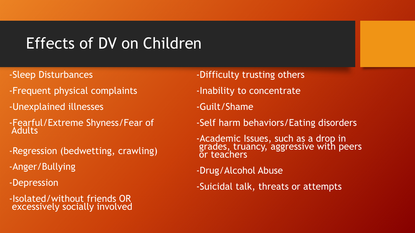## Effects of DV on Children

- -Sleep Disturbances
- -Frequent physical complaints
- -Unexplained illnesses
- -Fearful/Extreme Shyness/Fear of **Adults**
- -Regression (bedwetting, crawling)
- -Anger/Bullying
- -Depression
- -Isolated/without friends OR excessively socially involved
- -Difficulty trusting others
- -Inability to concentrate
- -Guilt/Shame
- -Self harm behaviors/Eating disorders
- -Academic Issues, such as a drop in grades, truancy, aggressive with peers or teachers
- -Drug/Alcohol Abuse
- -Suicidal talk, threats or attempts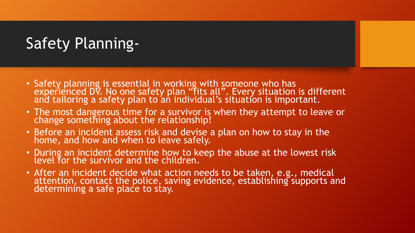## Safety Planning-

- Safety planning is essential in working with someone who has experienced DV. No one safety plan "fits all". Every situation is different and tailoring a safety plan to an individual's situation is important.
- The most dangerous time for a survivor is when they attempt to leave or change something about the relationship!
- Before an incident assess risk and devise a plan on how to stay in the home, and how and when to leave safely.
- During an incident determine how to keep the abuse at the lowest risk level for the survivor and the children.
- After an incident decide what action needs to be taken, e.g., medical attention, contact the police, saving evidence, establishing supports and determining a safe place to stay.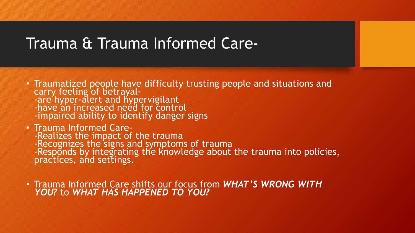#### Trauma & Trauma Informed Care-

- Traumatized people have difficulty trusting people and situations and carry feeling of betrayal--are hyper-alert and hypervigilant -have an increased need for control -impaired ability to identify danger signs
- Trauma Informed Care- -Realizes the impact of the trauma -Recognizes the signs and symptoms of trauma -Responds by integrating the knowledge about the trauma into policies, practices, and settings.
- Trauma Informed Care shifts our focus from *WHAT'S WRONG WITH YOU?* to *WHAT HAS HAPPENED TO YOU?*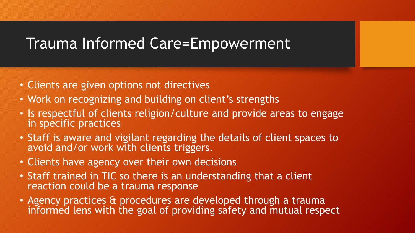#### Trauma Informed Care=Empowerment

- Clients are given options not directives
- Work on recognizing and building on client's strengths
- Is respectful of clients religion/culture and provide areas to engage in specific practices
- Staff is aware and vigilant regarding the details of client spaces to avoid and/or work with clients triggers.
- Clients have agency over their own decisions
- Staff trained in TIC so there is an understanding that a client reaction could be a trauma response
- Agency practices & procedures are developed through a trauma informed lens with the goal of providing safety and mutual respect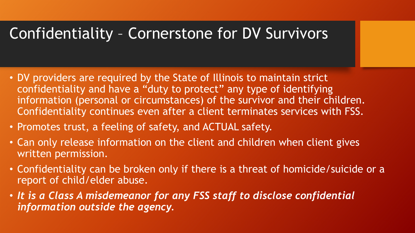## Confidentiality – Cornerstone for DV Survivors

- DV providers are required by the State of Illinois to maintain strict confidentiality and have a "duty to protect" any type of identifying information (personal or circumstances) of the survivor and their children. Confidentiality continues even after a client terminates services with FSS.
- Promotes trust, a feeling of safety, and ACTUAL safety.
- Can only release information on the client and children when client gives written permission.
- Confidentiality can be broken only if there is a threat of homicide/suicide or a report of child/elder abuse.
- *It is a Class A misdemeanor for any FSS staff to disclose confidential information outside the agency.*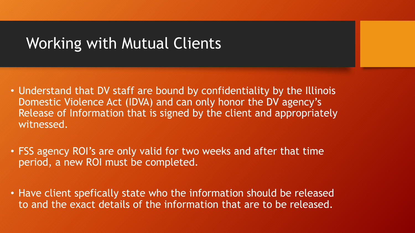#### Working with Mutual Clients

- Understand that DV staff are bound by confidentiality by the Illinois Domestic Violence Act (IDVA) and can only honor the DV agency's Release of Information that is signed by the client and appropriately witnessed.
- FSS agency ROI's are only valid for two weeks and after that time period, a new ROI must be completed.
- Have client spefically state who the information should be released to and the exact details of the information that are to be released.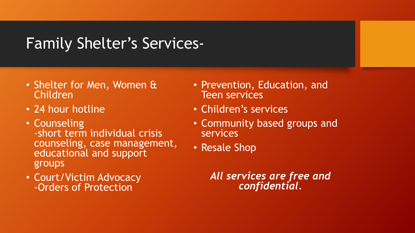## Family Shelter's Services-

- Shelter for Men, Women & Children
- 24 hour hotline
- Counseling -short term individual crisis counseling, case management, educational and support groups
- Court/Victim Advocacy -Orders of Protection
- Prevention, Education, and Teen services
- Children's services
- Community based groups and services
- Resale Shop

*All services are free and confidential.*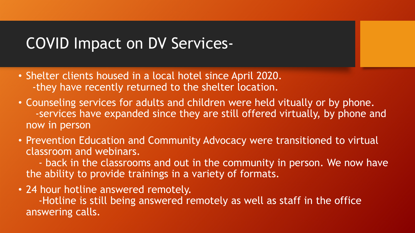### COVID Impact on DV Services-

- Shelter clients housed in a local hotel since April 2020. -they have recently returned to the shelter location.
- Counseling services for adults and children were held vitually or by phone. -services have expanded since they are still offered virtually, by phone and now in person
- Prevention Education and Community Advocacy were transitioned to virtual classroom and webinars.

- back in the classrooms and out in the community in person. We now have the ability to provide trainings in a variety of formats.

• 24 hour hotline answered remotely.

-Hotline is still being answered remotely as well as staff in the office answering calls.